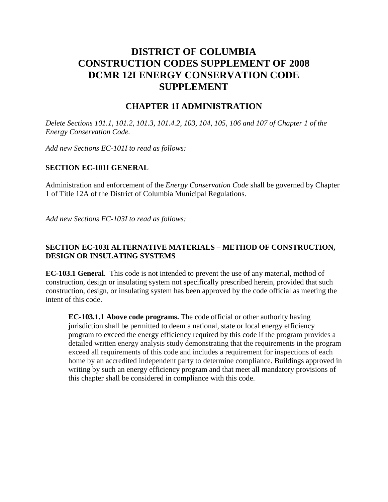# **DISTRICT OF COLUMBIA CONSTRUCTION CODES SUPPLEMENT OF 2008 DCMR 12I ENERGY CONSERVATION CODE SUPPLEMENT**

#### **CHAPTER 1I ADMINISTRATION**

*Delete Sections 101.1, 101.2, 101.3, 101.4.2, 103, 104, 105, 106 and 107 of Chapter 1 of the Energy Conservation Code.*

*Add new Sections EC-101I to read as follows:*

#### **SECTION EC-101I GENERAL**

Administration and enforcement of the *Energy Conservation Code* shall be governed by Chapter 1 of Title 12A of the District of Columbia Municipal Regulations.

*Add new Sections EC-103I to read as follows:*

#### **SECTION EC-103I ALTERNATIVE MATERIALS – METHOD OF CONSTRUCTION, DESIGN OR INSULATING SYSTEMS**

**EC-103.1 General**. This code is not intended to prevent the use of any material, method of construction, design or insulating system not specifically prescribed herein, provided that such construction, design, or insulating system has been approved by the code official as meeting the intent of this code.

**EC-103.1.1 Above code programs.** The code official or other authority having jurisdiction shall be permitted to deem a national, state or local energy efficiency program to exceed the energy efficiency required by this code if the program provides a detailed written energy analysis study demonstrating that the requirements in the program exceed all requirements of this code and includes a requirement for inspections of each home by an accredited independent party to determine compliance. Buildings approved in writing by such an energy efficiency program and that meet all mandatory provisions of this chapter shall be considered in compliance with this code.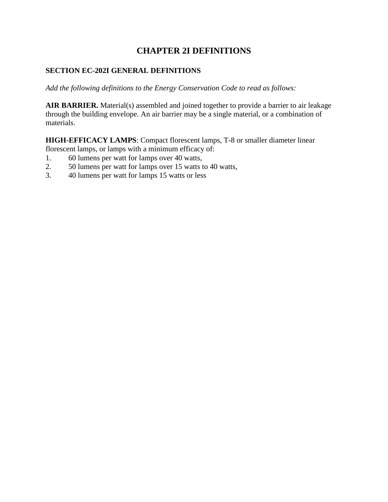## **CHAPTER 2I DEFINITIONS**

#### **SECTION EC-202I GENERAL DEFINITIONS**

*Add the following definitions to the Energy Conservation Code to read as follows:*

**AIR BARRIER.** Material(s) assembled and joined together to provide a barrier to air leakage through the building envelope. An air barrier may be a single material, or a combination of materials.

**HIGH-EFFICACY LAMPS**: Compact florescent lamps, T-8 or smaller diameter linear florescent lamps, or lamps with a minimum efficacy of:

- 1. 60 lumens per watt for lamps over 40 watts,
- 2. 50 lumens per watt for lamps over 15 watts to 40 watts,
- 3. 40 lumens per watt for lamps 15 watts or less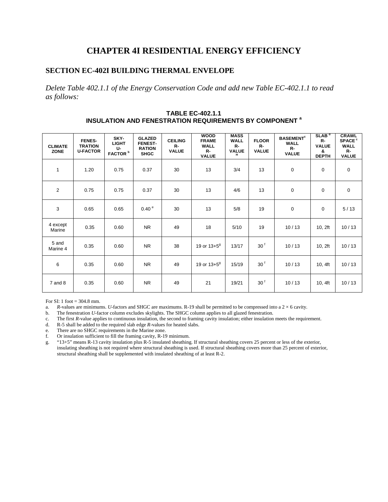### **CHAPTER 4I RESIDENTIAL ENERGY EFFICIENCY**

#### **SECTION EC-402I BUILDING THERMAL ENVELOPE**

*Delete Table 402.1.1 of the Energy Conservation Code and add new Table EC-402.1.1 to read as follows:*

| <b>CLIMATE</b><br><b>ZONE</b> | <b>FENES-</b><br><b>TRATION</b><br><b>U-FACTOR</b> | SKY-<br><b>LIGHT</b><br>$U-$<br>FACTOR <sup>b</sup> | <b>GLAZED</b><br><b>FENEST-</b><br><b>RATION</b><br><b>SHGC</b> | <b>CEILING</b><br>$R -$<br><b>VALUE</b> | <b>WOOD</b><br><b>FRAME</b><br><b>WALL</b><br>$R-$<br><b>VALUE</b> | <b>MASS</b><br><b>WALL</b><br>$R -$<br>VALUE | <b>FLOOR</b><br>$R -$<br><b>VALUE</b> | <b>BASEMENT<sup>c</sup></b><br><b>WALL</b><br>$R -$<br><b>VALUE</b> | SLAB <sup>d</sup><br>$R-$<br><b>VALUE</b><br>&<br><b>DEPTH</b> | <b>CRAWL</b><br><b>SPACE<sup>c</sup></b><br><b>WALL</b><br>$R -$<br><b>VALUE</b> |
|-------------------------------|----------------------------------------------------|-----------------------------------------------------|-----------------------------------------------------------------|-----------------------------------------|--------------------------------------------------------------------|----------------------------------------------|---------------------------------------|---------------------------------------------------------------------|----------------------------------------------------------------|----------------------------------------------------------------------------------|
| $\mathbf{1}$                  | 1.20                                               | 0.75                                                | 0.37                                                            | 30                                      | 13                                                                 | 3/4                                          | 13                                    | 0                                                                   | $\mathbf 0$                                                    | $\boldsymbol{0}$                                                                 |
| $\overline{2}$                | 0.75                                               | 0.75                                                | 0.37                                                            | 30                                      | 13                                                                 | 4/6                                          | 13                                    | 0                                                                   | $\mathbf 0$                                                    | $\mathbf 0$                                                                      |
| 3                             | 0.65                                               | 0.65                                                | 0.40 <sup>e</sup>                                               | 30                                      | 13                                                                 | 5/8                                          | 19                                    | 0                                                                   | $\mathbf 0$                                                    | 5/13                                                                             |
| 4 except<br>Marine            | 0.35                                               | 0.60                                                | <b>NR</b>                                                       | 49                                      | 18                                                                 | 5/10                                         | 19                                    | 10/13                                                               | 10, 2ft                                                        | 10/13                                                                            |
| 5 and<br>Marine 4             | 0.35                                               | 0.60                                                | <b>NR</b>                                                       | 38                                      | 19 or 13+5 <sup>9</sup>                                            | 13/17                                        | 30 <sup>6</sup>                       | 10/13                                                               | 10, 2ft                                                        | 10/13                                                                            |
| 6                             | 0.35                                               | 0.60                                                | <b>NR</b>                                                       | 49                                      | 19 or $13+5^9$                                                     | 15/19                                        | 30 <sup>6</sup>                       | 10/13                                                               | 10, 4ft                                                        | 10/13                                                                            |
| 7 and 8                       | 0.35                                               | 0.60                                                | <b>NR</b>                                                       | 49                                      | 21                                                                 | 19/21                                        | 30 <sup>6</sup>                       | 10/13                                                               | 10, 4ft                                                        | 10/13                                                                            |

**TABLE EC-402.1.1 INSULATION AND FENESTRATION REQUIREMENTS BY COMPONENT a**

For SI: 1 foot  $= 304.8$  mm.

a. *R*-values are minimums. *U*-factors and SHGC are maximums. R-19 shall be permitted to be compressed into a  $2 \times 6$  cavity.

b. The fenestration *U*-factor column excludes skylights. The SHGC column applies to all glazed fenestration.

c. The first *R*-value applies to continuous insulation, the second to framing cavity insulation; either insulation meets the requirement.

d. R-5 shall be added to the required slab edge *R*-values for heated slabs.

e. There are no SHGC requirements in the Marine zone.

f. Or insulation sufficient to fill the framing cavity, R-19 minimum.

g. "13+5" means R-13 cavity insulation plus R-5 insulated sheathing. If structural sheathing covers 25 percent or less of the exterior, insulating sheathing is not required where structural sheathing is used. If structural sheathing covers more than 25 percent of exterior, structural sheathing shall be supplemented with insulated sheathing of at least R-2.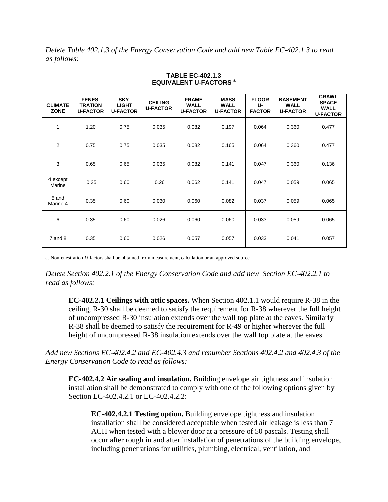*Delete Table 402.1.3 of the Energy Conservation Code and add new Table EC-402.1.3 to read as follows:*

| <b>CLIMATE</b><br><b>ZONE</b> | <b>FENES-</b><br><b>TRATION</b><br><b>U-FACTOR</b> | SKY-<br><b>LIGHT</b><br><b>U-FACTOR</b> | <b>CEILING</b><br><b>U-FACTOR</b> | <b>FRAME</b><br><b>WALL</b><br><b>U-FACTOR</b> | <b>MASS</b><br><b>WALL</b><br><b>U-FACTOR</b> | <b>FLOOR</b><br>U-<br><b>FACTOR</b> | <b>BASEMENT</b><br><b>WALL</b><br><b>U-FACTOR</b> | <b>CRAWL</b><br><b>SPACE</b><br><b>WALL</b><br><b>U-FACTOR</b> |
|-------------------------------|----------------------------------------------------|-----------------------------------------|-----------------------------------|------------------------------------------------|-----------------------------------------------|-------------------------------------|---------------------------------------------------|----------------------------------------------------------------|
| 1                             | 1.20                                               | 0.75                                    | 0.035                             | 0.082                                          | 0.197                                         | 0.064                               | 0.360                                             | 0.477                                                          |
| 2                             | 0.75                                               | 0.75                                    | 0.035                             | 0.082                                          | 0.165                                         | 0.064                               | 0.360                                             | 0.477                                                          |
| 3                             | 0.65                                               | 0.65                                    | 0.035                             | 0.082                                          | 0.141                                         | 0.047                               | 0.360                                             | 0.136                                                          |
| 4 except<br>Marine            | 0.35                                               | 0.60                                    | 0.26                              | 0.062                                          | 0.141                                         | 0.047                               | 0.059                                             | 0.065                                                          |
| 5 and<br>Marine 4             | 0.35                                               | 0.60                                    | 0.030                             | 0.060                                          | 0.082                                         | 0.037                               | 0.059                                             | 0.065                                                          |
| 6                             | 0.35                                               | 0.60                                    | 0.026                             | 0.060                                          | 0.060                                         | 0.033                               | 0.059                                             | 0.065                                                          |
| $7$ and $8$                   | 0.35                                               | 0.60                                    | 0.026                             | 0.057                                          | 0.057                                         | 0.033                               | 0.041                                             | 0.057                                                          |

#### **TABLE EC-402.1.3 EQUIVALENT U-FACTORS a**

a. Nonfenestration *U*-factors shall be obtained from measurement, calculation or an approved source.

*Delete Section 402.2.1 of the Energy Conservation Code and add new Section EC-402.2.1 to read as follows:*

**EC-402.2.1 Ceilings with attic spaces.** When Section 402.1.1 would require R-38 in the ceiling, R-30 shall be deemed to satisfy the requirement for R-38 wherever the full height of uncompressed R-30 insulation extends over the wall top plate at the eaves. Similarly R-38 shall be deemed to satisfy the requirement for R-49 or higher wherever the full height of uncompressed R-38 insulation extends over the wall top plate at the eaves.

*Add new Sections EC-402.4.2 and EC-402.4.3 and renumber Sections 402.4.2 and 402.4.3 of the Energy Conservation Code to read as follows:*

**EC-402.4.2 Air sealing and insulation.** Building envelope air tightness and insulation installation shall be demonstrated to comply with one of the following options given by Section EC-402.4.2.1 or EC-402.4.2.2:

**EC-402.4.2.1 Testing option.** Building envelope tightness and insulation installation shall be considered acceptable when tested air leakage is less than 7 ACH when tested with a blower door at a pressure of 50 pascals. Testing shall occur after rough in and after installation of penetrations of the building envelope, including penetrations for utilities, plumbing, electrical, ventilation, and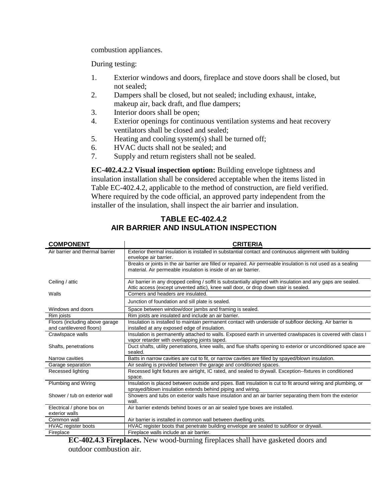combustion appliances.

During testing:

- 1. Exterior windows and doors, fireplace and stove doors shall be closed, but not sealed;
- 2. Dampers shall be closed, but not sealed; including exhaust, intake, makeup air, back draft, and flue dampers;
- 3. Interior doors shall be open;
- 4. Exterior openings for continuous ventilation systems and heat recovery ventilators shall be closed and sealed;
- 5. Heating and cooling system(s) shall be turned off;
- 6. HVAC ducts shall not be sealed; and
- 7. Supply and return registers shall not be sealed.

**EC-402.4.2.2 Visual inspection option:** Building envelope tightness and insulation installation shall be considered acceptable when the items listed in Table EC-402.4.2, applicable to the method of construction, are field verified. Where required by the code official, an approved party independent from the installer of the insulation, shall inspect the air barrier and insulation.

#### **TABLE EC-402.4.2 AIR BARRIER AND INSULATION INSPECTION**

| <b>COMPONENT</b>                                           | <b>CRITERIA</b>                                                                                                                                                                                      |
|------------------------------------------------------------|------------------------------------------------------------------------------------------------------------------------------------------------------------------------------------------------------|
| Air barrier and thermal barrier                            | Exterior thermal insulation is installed in substantial contact and continuous alignment with building<br>envelope air barrier.                                                                      |
|                                                            | Breaks or joints in the air barrier are filled or repaired. Air permeable insulation is not used as a sealing<br>material. Air permeable insulation is inside of an air barrier.                     |
| Ceiling / attic                                            | Air barrier in any dropped ceiling / soffit is substantially aligned with insulation and any gaps are sealed.<br>Attic access (except unvented attic), knee wall door, or drop down stair is sealed. |
| Walls                                                      | Corners and headers are insulated.                                                                                                                                                                   |
|                                                            | Junction of foundation and sill plate is sealed.                                                                                                                                                     |
| Windows and doors                                          | Space between window/door jambs and framing is sealed.                                                                                                                                               |
| Rim joists                                                 | Rim joists are insulated and include an air barrier.                                                                                                                                                 |
| Floors (including above garage<br>and cantilevered floors) | Insulation is installed to maintain permanent contact with underside of subfloor decking. Air barrier is<br>installed at any exposed edge of insulation.                                             |
| Crawlspace walls                                           | Insulation is permanently attached to walls. Exposed earth in unvented crawlspaces is covered with class I<br>vapor retarder with overlapping joints taped.                                          |
| Shafts, penetrations                                       | Duct shafts, utility penetrations, knee walls, and flue shafts opening to exterior or unconditioned space are<br>sealed.                                                                             |
| Narrow cavities                                            | Batts in narrow cavities are cut to fit, or narrow cavities are filled by spayed/blown insulation.                                                                                                   |
| Garage separation                                          | Air sealing is provided between the garage and conditioned spaces.                                                                                                                                   |
| Recessed lighting                                          | Recessed light fixtures are airtight, IC rated, and sealed to drywall. Exception-fixtures in conditioned<br>space.                                                                                   |
| <b>Plumbing and Wiring</b>                                 | Insulation is placed between outside and pipes. Batt insulation is cut to fit around wiring and plumbing, or<br>sprayed/blown insulation extends behind piping and wiring.                           |
| Shower / tub on exterior wall                              | Showers and tubs on exterior walls have insulation and an air barrier separating them from the exterior<br>wall.                                                                                     |
| Electrical / phone box on<br>exterior walls                | Air barrier extends behind boxes or an air sealed type boxes are installed.                                                                                                                          |
| Common wall                                                | Air barrier is installed in common wall between dwelling units.                                                                                                                                      |
| <b>HVAC</b> register boots                                 | HVAC register boots that penetrate building envelope are sealed to subfloor or drywall.                                                                                                              |
| Fireplace                                                  | Fireplace walls include an air barrier.                                                                                                                                                              |

**EC-402.4.3 Fireplaces.** New wood-burning fireplaces shall have gasketed doors and outdoor combustion air.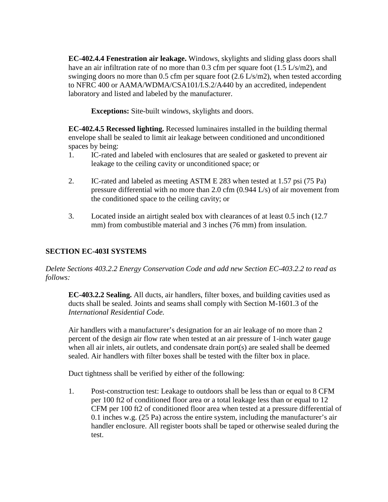**EC-402.4.4 Fenestration air leakage.** Windows, skylights and sliding glass doors shall have an air infiltration rate of no more than 0.3 cfm per square foot (1.5 L/s/m2), and swinging doors no more than 0.5 cfm per square foot (2.6 L/s/m2), when tested according to NFRC 400 or AAMA/WDMA/CSA101/I.S.2/A440 by an accredited, independent laboratory and listed and labeled by the manufacturer.

**Exceptions:** Site-built windows, skylights and doors.

**EC-402.4.5 Recessed lighting.** Recessed luminaires installed in the building thermal envelope shall be sealed to limit air leakage between conditioned and unconditioned spaces by being:

- 1. IC-rated and labeled with enclosures that are sealed or gasketed to prevent air leakage to the ceiling cavity or unconditioned space; or
- 2. IC-rated and labeled as meeting ASTM E 283 when tested at 1.57 psi (75 Pa) pressure differential with no more than 2.0 cfm (0.944 L/s) of air movement from the conditioned space to the ceiling cavity; or
- 3. Located inside an airtight sealed box with clearances of at least 0.5 inch (12.7 mm) from combustible material and 3 inches (76 mm) from insulation.

#### **SECTION EC-403I SYSTEMS**

*Delete Sections 403.2.2 Energy Conservation Code and add new Section EC-403.2.2 to read as follows:*

**EC-403.2.2 Sealing.** All ducts, air handlers, filter boxes, and building cavities used as ducts shall be sealed. Joints and seams shall comply with Section M-1601.3 of the *International Residential Code.*

Air handlers with a manufacturer's designation for an air leakage of no more than 2 percent of the design air flow rate when tested at an air pressure of 1-inch water gauge when all air inlets, air outlets, and condensate drain port(s) are sealed shall be deemed sealed. Air handlers with filter boxes shall be tested with the filter box in place.

Duct tightness shall be verified by either of the following:

1. Post-construction test: Leakage to outdoors shall be less than or equal to 8 CFM per 100 ft2 of conditioned floor area or a total leakage less than or equal to 12 CFM per 100 ft2 of conditioned floor area when tested at a pressure differential of 0.1 inches w.g. (25 Pa) across the entire system, including the manufacturer's air handler enclosure. All register boots shall be taped or otherwise sealed during the test.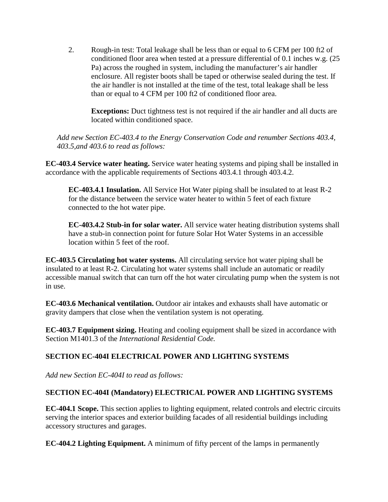2. Rough-in test: Total leakage shall be less than or equal to 6 CFM per 100 ft2 of conditioned floor area when tested at a pressure differential of 0.1 inches w.g. (25 Pa) across the roughed in system, including the manufacturer's air handler enclosure. All register boots shall be taped or otherwise sealed during the test. If the air handler is not installed at the time of the test, total leakage shall be less than or equal to 4 CFM per 100 ft2 of conditioned floor area.

**Exceptions:** Duct tightness test is not required if the air handler and all ducts are located within conditioned space.

*Add new Section EC-403.4 to the Energy Conservation Code and renumber Sections 403.4, 403.5,and 403.6 to read as follows:*

**EC-403.4 Service water heating.** Service water heating systems and piping shall be installed in accordance with the applicable requirements of Sections 403.4.1 through 403.4.2.

**EC-403.4.1 Insulation.** All Service Hot Water piping shall be insulated to at least R-2 for the distance between the service water heater to within 5 feet of each fixture connected to the hot water pipe.

**EC-403.4.2 Stub-in for solar water.** All service water heating distribution systems shall have a stub-in connection point for future Solar Hot Water Systems in an accessible location within 5 feet of the roof.

**EC-403.5 Circulating hot water systems.** All circulating service hot water piping shall be insulated to at least R-2. Circulating hot water systems shall include an automatic or readily accessible manual switch that can turn off the hot water circulating pump when the system is not in use.

**EC-403.6 Mechanical ventilation.** Outdoor air intakes and exhausts shall have automatic or gravity dampers that close when the ventilation system is not operating.

**EC-403.7 Equipment sizing.** Heating and cooling equipment shall be sized in accordance with Section M1401.3 of the *International Residential Code.*

### **SECTION EC-404I ELECTRICAL POWER AND LIGHTING SYSTEMS**

*Add new Section EC-404I to read as follows:*

#### **SECTION EC-404I (Mandatory) ELECTRICAL POWER AND LIGHTING SYSTEMS**

**EC-404.1 Scope.** This section applies to lighting equipment, related controls and electric circuits serving the interior spaces and exterior building facades of all residential buildings including accessory structures and garages.

**EC-404.2 Lighting Equipment.** A minimum of fifty percent of the lamps in permanently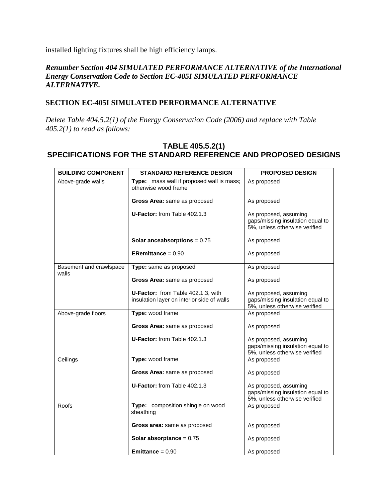installed lighting fixtures shall be high efficiency lamps.

#### *Renumber Section 404 SIMULATED PERFORMANCE ALTERNATIVE of the International Energy Conservation Code to Section EC-405I SIMULATED PERFORMANCE ALTERNATIVE.*

#### **SECTION EC-405I SIMULATED PERFORMANCE ALTERNATIVE**

*Delete Table 404.5.2(1) of the Energy Conservation Code (2006) and replace with Table 405.2(1) to read as follows:*

#### **TABLE 405.5.2(1) SPECIFICATIONS FOR THE STANDARD REFERENCE AND PROPOSED DESIGNS**

| <b>BUILDING COMPONENT</b>        | <b>STANDARD REFERENCE DESIGN</b>                                  | <b>PROPOSED DESIGN</b>                                                                     |
|----------------------------------|-------------------------------------------------------------------|--------------------------------------------------------------------------------------------|
| Above-grade walls                | Type: mass wall if proposed wall is mass;<br>otherwise wood frame | As proposed                                                                                |
|                                  | Gross Area: same as proposed                                      | As proposed                                                                                |
|                                  | U-Factor: from Table 402.1.3                                      | As proposed, assuming<br>gaps/missing insulation equal to<br>5%, unless otherwise verified |
|                                  | Solar anceabsorptions = $0.75$                                    | As proposed                                                                                |
|                                  | ERemittance = $0.90$                                              | As proposed                                                                                |
| Basement and crawlspace<br>walls | Type: same as proposed                                            | As proposed                                                                                |
|                                  | Gross Area: same as proposed                                      | As proposed                                                                                |
|                                  | U-Factor: from Table 402.1.3, with                                | As proposed, assuming                                                                      |
|                                  | insulation layer on interior side of walls                        | gaps/missing insulation equal to<br>5%, unless otherwise verified                          |
| Above-grade floors               | Type: wood frame                                                  | As proposed                                                                                |
|                                  | Gross Area: same as proposed                                      | As proposed                                                                                |
|                                  | U-Factor: from Table 402.1.3                                      | As proposed, assuming<br>gaps/missing insulation equal to<br>5%, unless otherwise verified |
| Ceilings                         | Type: wood frame                                                  | As proposed                                                                                |
|                                  | Gross Area: same as proposed                                      | As proposed                                                                                |
|                                  | U-Factor: from Table 402.1.3                                      | As proposed, assuming<br>gaps/missing insulation equal to<br>5%, unless otherwise verified |
| Roofs                            | Type: composition shingle on wood<br>sheathing                    | As proposed                                                                                |
|                                  | Gross area: same as proposed                                      | As proposed                                                                                |
|                                  | <b>Solar absorptance = <math>0.75</math></b>                      | As proposed                                                                                |
|                                  | <b>Emittance</b> = $0.90$                                         | As proposed                                                                                |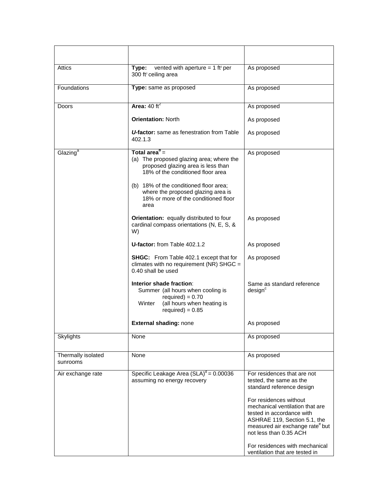| Attics                         | vented with aperture = 1 ft <sup>2</sup> per<br>Type:<br>300 ft <sup>2</sup> ceiling area                                                                                                                                                                                          | As proposed                                                                                                                                                                                                                                                                                                                                   |
|--------------------------------|------------------------------------------------------------------------------------------------------------------------------------------------------------------------------------------------------------------------------------------------------------------------------------|-----------------------------------------------------------------------------------------------------------------------------------------------------------------------------------------------------------------------------------------------------------------------------------------------------------------------------------------------|
| Foundations                    | Type: same as proposed                                                                                                                                                                                                                                                             | As proposed                                                                                                                                                                                                                                                                                                                                   |
| Doors                          | Area: $40 \text{ ft}^2$                                                                                                                                                                                                                                                            | As proposed                                                                                                                                                                                                                                                                                                                                   |
|                                | <b>Orientation: North</b>                                                                                                                                                                                                                                                          | As proposed                                                                                                                                                                                                                                                                                                                                   |
|                                | <b><i>U-factor:</i></b> same as fenestration from Table<br>402.1.3                                                                                                                                                                                                                 | As proposed                                                                                                                                                                                                                                                                                                                                   |
| Glazing <sup>a</sup>           | Total area $\overline{P}$ =<br>(a) The proposed glazing area; where the<br>proposed glazing area is less than<br>18% of the conditioned floor area<br>(b) 18% of the conditioned floor area;<br>where the proposed glazing area is<br>18% or more of the conditioned floor<br>area | As proposed                                                                                                                                                                                                                                                                                                                                   |
|                                | Orientation: equally distributed to four<br>cardinal compass orientations (N, E, S, &<br>W)                                                                                                                                                                                        | As proposed                                                                                                                                                                                                                                                                                                                                   |
|                                | U-factor: from Table 402.1.2                                                                                                                                                                                                                                                       | As proposed                                                                                                                                                                                                                                                                                                                                   |
|                                | <b>SHGC:</b> From Table 402.1 except that for<br>climates with no requirement (NR) SHGC =<br>0.40 shall be used                                                                                                                                                                    | As proposed                                                                                                                                                                                                                                                                                                                                   |
|                                | Interior shade fraction:<br>Summer (all hours when cooling is<br>$required) = 0.70$<br>Winter<br>(all hours when heating is<br>required) = $0.85$                                                                                                                                  | Same as standard reference<br>design <sup>c</sup>                                                                                                                                                                                                                                                                                             |
|                                | <b>External shading: none</b>                                                                                                                                                                                                                                                      | As proposed                                                                                                                                                                                                                                                                                                                                   |
| Skylights                      | None                                                                                                                                                                                                                                                                               | As proposed                                                                                                                                                                                                                                                                                                                                   |
| Thermally isolated<br>sunrooms | None                                                                                                                                                                                                                                                                               | As proposed                                                                                                                                                                                                                                                                                                                                   |
| Air exchange rate              | Specific Leakage Area $(SLA)^d = 0.00036$<br>assuming no energy recovery                                                                                                                                                                                                           | For residences that are not<br>tested, the same as the<br>standard reference design<br>For residences without<br>mechanical ventilation that are<br>tested in accordance with<br>ASHRAE 119, Section 5.1, the<br>measured air exchange rate but<br>not less than 0.35 ACH<br>For residences with mechanical<br>ventilation that are tested in |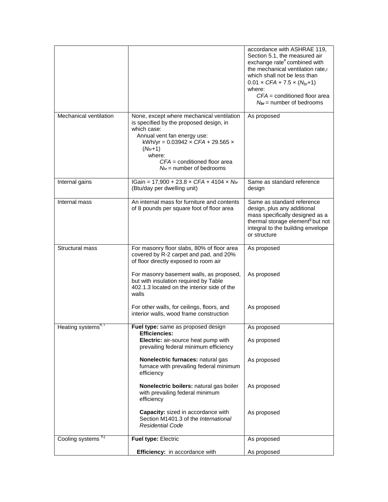|                                 |                                                                                                                                                                                                                                                                                  | accordance with ASHRAE 119,<br>Section 5.1, the measured air<br>exchange rate <sup>e</sup> combined with<br>the mechanical ventilation rate,f<br>which shall not be less than<br>$0.01 \times CFA + 7.5 \times (N_{br}+1)$<br>where:<br>$CFA =$ conditioned floor area<br>$N_{br}$ = number of bedrooms |
|---------------------------------|----------------------------------------------------------------------------------------------------------------------------------------------------------------------------------------------------------------------------------------------------------------------------------|---------------------------------------------------------------------------------------------------------------------------------------------------------------------------------------------------------------------------------------------------------------------------------------------------------|
| Mechanical ventilation          | None, except where mechanical ventilation<br>is specified by the proposed design, in<br>which case:<br>Annual vent fan energy use:<br>kWh/yr = $0.03942 \times CFA + 29.565 \times$<br>$(N_{br}+1)$<br>where:<br>$CFA =$ conditioned floor area<br>$N_{br}$ = number of bedrooms | As proposed                                                                                                                                                                                                                                                                                             |
| Internal gains                  | IGain = $17,900 + 23.8 \times CFA + 4104 \times N$ br<br>(Btu/day per dwelling unit)                                                                                                                                                                                             | Same as standard reference<br>design                                                                                                                                                                                                                                                                    |
| Internal mass                   | An internal mass for furniture and contents<br>of 8 pounds per square foot of floor area                                                                                                                                                                                         | Same as standard reference<br>design, plus any additional<br>mass specifically designed as a<br>thermal storage element <sup>9</sup> but not<br>integral to the building envelope<br>or structure                                                                                                       |
| Structural mass                 | For masonry floor slabs, 80% of floor area<br>covered by R-2 carpet and pad, and 20%<br>of floor directly exposed to room air                                                                                                                                                    | As proposed                                                                                                                                                                                                                                                                                             |
|                                 | For masonry basement walls, as proposed,<br>but with insulation required by Table<br>402.1.3 located on the interior side of the<br>walls                                                                                                                                        | As proposed                                                                                                                                                                                                                                                                                             |
|                                 | For other walls, for ceilings, floors, and<br>interior walls, wood frame construction                                                                                                                                                                                            | As proposed                                                                                                                                                                                                                                                                                             |
| Heating systems <sup>h, 1</sup> | Fuel type: same as proposed design<br><b>Efficiencies:</b>                                                                                                                                                                                                                       | As proposed                                                                                                                                                                                                                                                                                             |
|                                 | Electric: air-source heat pump with<br>prevailing federal minimum efficiency                                                                                                                                                                                                     | As proposed                                                                                                                                                                                                                                                                                             |
|                                 | Nonelectric furnaces: natural gas<br>furnace with prevailing federal minimum<br>efficiency                                                                                                                                                                                       | As proposed                                                                                                                                                                                                                                                                                             |
|                                 | Nonelectric boilers: natural gas boiler<br>with prevailing federal minimum<br>efficiency                                                                                                                                                                                         | As proposed                                                                                                                                                                                                                                                                                             |
|                                 | Capacity: sized in accordance with<br>Section M1401.3 of the International<br><b>Residential Code</b>                                                                                                                                                                            | As proposed                                                                                                                                                                                                                                                                                             |
| Cooling systems h,j             | Fuel type: Electric                                                                                                                                                                                                                                                              | As proposed                                                                                                                                                                                                                                                                                             |
|                                 | Efficiency: in accordance with                                                                                                                                                                                                                                                   | As proposed                                                                                                                                                                                                                                                                                             |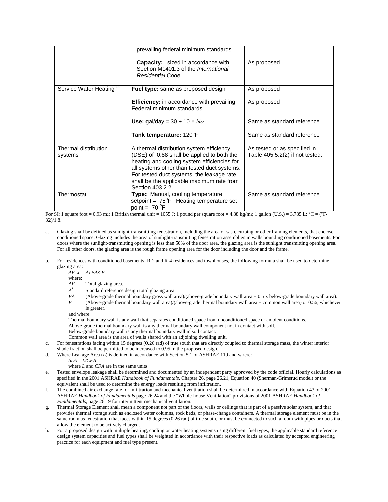|                                      | prevailing federal minimum standards<br><b>Capacity:</b> sized in accordance with<br>Section M1401.3 of the International<br><b>Residential Code</b>                                                                                                                                               | As proposed                                                       |
|--------------------------------------|----------------------------------------------------------------------------------------------------------------------------------------------------------------------------------------------------------------------------------------------------------------------------------------------------|-------------------------------------------------------------------|
| Service Water Heating <sup>h,k</sup> | <b>Fuel type:</b> same as proposed design                                                                                                                                                                                                                                                          | As proposed                                                       |
|                                      | <b>Efficiency:</b> in accordance with prevailing<br>Federal minimum standards                                                                                                                                                                                                                      | As proposed                                                       |
|                                      | Use: gal/day = $30 + 10 \times N_{br}$                                                                                                                                                                                                                                                             | Same as standard reference                                        |
|                                      | Tank temperature: 120°F                                                                                                                                                                                                                                                                            | Same as standard reference                                        |
| Thermal distribution<br>systems      | A thermal distribution system efficiency<br>(DSE) of 0.88 shall be applied to both the<br>heating and cooling system efficiencies for<br>all systems other than tested duct systems.<br>For tested duct systems, the leakage rate<br>shall be the applicable maximum rate from<br>Section 403.2.2. | As tested or as specified in<br>Table $405.5.2(2)$ if not tested. |
| Thermostat                           | Type: Manual, cooling temperature<br>setpoint = $75^{\circ}F$ ; Heating temperature set<br>point = $70^{\circ}$ F                                                                                                                                                                                  | Same as standard reference                                        |

For SI: 1 square foot = 0.93 m2; 1 British thermal unit = 1055 J; 1 pound per square foot = 4.88 kg/m2; 1 gallon (U.S.) = 3.785 L; °C = (°F-32)/1.8.

- a. Glazing shall be defined as sunlight-transmitting fenestration, including the area of sash, curbing or other framing elements, that enclose conditioned space. Glazing includes the area of sunlight-transmitting fenestration assemblies in walls bounding conditioned basements. For doors where the sunlight-transmitting opening is less than 50% of the door area, the glazing area is the sunlight transmitting opening area. For all other doors, the glazing area is the rough frame opening area for the door including the door and the frame.
- b. For residences with conditioned basements, R-2 and R-4 residences and townhouses, the following formula shall be used to determine glazing area:

*AF x= As FAx F*

- where: *AF* = Total glazing area.
- *As* = Standard reference design total glazing area.
- *FA =* (Above-grade thermal boundary gross wall area)/(above-grade boundary wall area + 0.5 x below-grade boundary wall area).
- *F* = (Above-grade thermal boundary wall area)/(above-grade thermal boundary wall area + common wall area) or 0.56, whichever is greater.

and where:

Thermal boundary wall is any wall that separates conditioned space from unconditioned space or ambient conditions.

Above-grade thermal boundary wall is any thermal boundary wall component not in contact with soil.

Below-grade boundary wall is any thermal boundary wall in soil contact.

Common wall area is the area of walls shared with an adjoining dwelling unit.

- c. For fenestrations facing within 15 degrees (0.26 rad) of true south that are directly coupled to thermal storage mass, the winter interior shade fraction shall be permitted to be increased to 0.95 in the proposed design.
- d. Where Leakage Area  $(L)$  is defined in accordance with Section 5.1 of ASHRAE 119 and where:
	- $SIA = L/CFA$ where *L* and *CFA* are in the same units.
- e. Tested envelope leakage shall be determined and documented by an independent party approved by the code official. Hourly calculations as specified in the 2001 ASHRAE *Handbook of Fundamentals*, Chapter 26, page 26.21, Equation 40 (Sherman-Grimsrud model) or the equivalent shall be used to determine the energy loads resulting from infiltration.
- f. The combined air exchange rate for infiltration and mechanical ventilation shall be determined in accordance with Equation 43 of 2001 ASHRAE *Handbook of Fundamentals* page 26.24 and the "Whole-house Ventilation" provisions of 2001 ASHRAE *Handbook of Fundamentals*, page 26.19 for intermittent mechanical ventilation.
- g. Thermal Storage Element shall mean a component not part of the floors, walls or ceilings that is part of a passive solar system, and that provides thermal storage such as enclosed water columns, rock beds, or phase-change containers. A thermal storage element must be in the same room as fenestration that faces within 15 degrees (0.26 rad) of true south, or must be connected to such a room with pipes or ducts that allow the element to be actively charged.
- h. For a proposed design with multiple heating, cooling or water heating systems using different fuel types, the applicable standard reference design system capacities and fuel types shall be weighted in accordance with their respective loads as calculated by accepted engineering practice for each equipment and fuel type present.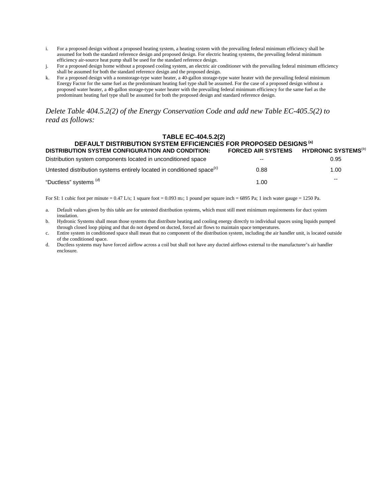- i. For a proposed design without a proposed heating system, a heating system with the prevailing federal minimum efficiency shall be assumed for both the standard reference design and proposed design. For electric heating systems, the prevailing federal minimum efficiency air-source heat pump shall be used for the standard reference design.
- j. For a proposed design home without a proposed cooling system, an electric air conditioner with the prevailing federal minimum efficiency shall be assumed for both the standard reference design and the proposed design.
- k. For a proposed design with a nonstorage-type water heater, a 40-gallon storage-type water heater with the prevailing federal minimum Energy Factor for the same fuel as the predominant heating fuel type shall be assumed. For the case of a proposed design without a proposed water heater, a 40-gallon storage-type water heater with the prevailing federal minimum efficiency for the same fuel as the predominant heating fuel type shall be assumed for both the proposed design and standard reference design.

*Delete Table 404.5.2(2) of the Energy Conservation Code and add new Table EC-405.5(2) to read as follows:*

#### **TABLE EC-404.5.2(2)**

| DEFAULT DISTRIBUTION SYSTEM EFFICIENCIES FOR PROPOSED DESIGNS <sup>(a)</sup>       |                                                    |       |  |  |  |
|------------------------------------------------------------------------------------|----------------------------------------------------|-------|--|--|--|
| <b>DISTRIBUTION SYSTEM CONFIGURATION AND CONDITION:</b>                            | FORCED AIR SYSTEMS HYDRONIC SYSTEMS <sup>(D)</sup> |       |  |  |  |
| Distribution system components located in unconditioned space                      | $- -$                                              | 0.95  |  |  |  |
| Untested distribution systems entirely located in conditioned space <sup>(c)</sup> | 0.88                                               | 1.00  |  |  |  |
| "Ductless" systems (d)                                                             | 1.00                                               | $- -$ |  |  |  |

For SI: 1 cubic foot per minute =  $0.47$  L/s; 1 square foot =  $0.093$  m<sub>2</sub>; 1 pound per square inch = 6895 Pa; 1 inch water gauge = 1250 Pa.

- a. Default values given by this table are for untested distribution systems, which must still meet minimum requirements for duct system insulation.
- b. Hydronic Systems shall mean those systems that distribute heating and cooling energy directly to individual spaces using liquids pumped through closed loop piping and that do not depend on ducted, forced air flows to maintain space temperatures.
- c. Entire system in conditioned space shall mean that no component of the distribution system, including the air handler unit, is located outside of the conditioned space.
- d. Ductless systems may have forced airflow across a coil but shall not have any ducted airflows external to the manufacturer's air handler enclosure.